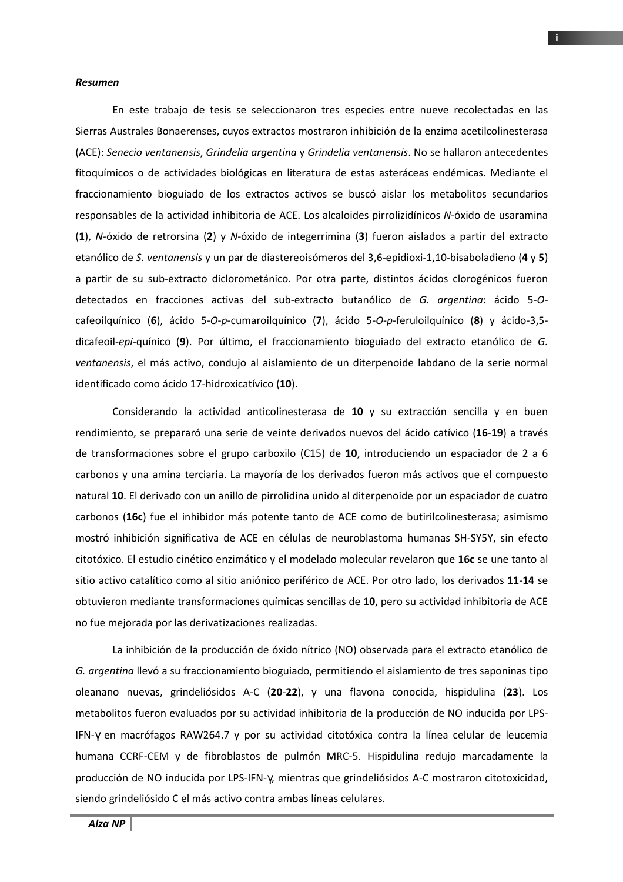## *Resumen*

En este trabajo de tesis se seleccionaron tres especies entre nueve recolectadas en las Sierras Australes Bonaerenses, cuyos extractos mostraron inhibición de la enzima acetilcolinesterasa (ACE): *Senecio ventanensis*, *Grindelia argentina* y *Grindelia ventanensis*. No se hallaron antecedentes fitoquímicos o de actividades biológicas en literatura de estas asteráceas endémicas. Mediante el fraccionamiento bioguiado de los extractos activos se buscó aislar los metabolitos secundarios responsables de la actividad inhibitoria de ACE. Los alcaloides pirrolizidínicos *N*-óxido de usaramina (**1**), *N*-óxido de retrorsina (**2**) y *N*-óxido de integerrimina (**3**) fueron aislados a partir del extracto etanólico de *S. ventanensis* y un par de diastereoisómeros del 3,6-epidioxi-1,10-bisaboladieno (**4** y **5**) a partir de su sub-extracto diclorometánico. Por otra parte, distintos ácidos clorogénicos fueron detectados en fracciones activas del sub-extracto butanólico de *G. argentina*: ácido 5-*O*cafeoilquínico (**6**), ácido 5-*O*-*p*-cumaroilquínico (**7**), ácido 5-*O*-*p*-feruloilquínico (**8**) y ácido-3,5 dicafeoil-*epi*-quínico (**9**). Por último, el fraccionamiento bioguiado del extracto etanólico de *G. ventanensis*, el más activo, condujo al aislamiento de un diterpenoide labdano de la serie normal identificado como ácido 17-hidroxicatívico (**10**).

Considerando la actividad anticolinesterasa de **10** y su extracción sencilla y en buen rendimiento, se prepararó una serie de veinte derivados nuevos del ácido catívico (**16**-**19**) a través de transformaciones sobre el grupo carboxilo (C15) de **10**, introduciendo un espaciador de 2 a 6 carbonos y una amina terciaria. La mayoría de los derivados fueron más activos que el compuesto natural **10**. El derivado con un anillo de pirrolidina unido al diterpenoide por un espaciador de cuatro carbonos (**16c**) fue el inhibidor más potente tanto de ACE como de butirilcolinesterasa; asimismo mostró inhibición significativa de ACE en células de neuroblastoma humanas SH-SY5Y, sin efecto citotóxico. El estudio cinético enzimático y el modelado molecular revelaron que **16c** se une tanto al sitio activo catalítico como al sitio aniónico periférico de ACE. Por otro lado, los derivados **11**-**14** se obtuvieron mediante transformaciones químicas sencillas de **10**, pero su actividad inhibitoria de ACE no fue mejorada por las derivatizaciones realizadas.

La inhibición de la producción de óxido nítrico (NO) observada para el extracto etanólico de *G. argentina* llevó a su fraccionamiento bioguiado, permitiendo el aislamiento de tres saponinas tipo oleanano nuevas, grindeliósidos A-C (**20**-**22**), y una flavona conocida, hispidulina (**23**). Los metabolitos fueron evaluados por su actividad inhibitoria de la producción de NO inducida por LPS-IFN-γ en macrófagos RAW264.7 y por su actividad citotóxica contra la línea celular de leucemia humana CCRF-CEM y de fibroblastos de pulmón MRC-5. Hispidulina redujo marcadamente la producción de NO inducida por LPS-IFN-γ, mientras que grindeliósidos A-C mostraron citotoxicidad, siendo grindeliósido C el más activo contra ambas líneas celulares.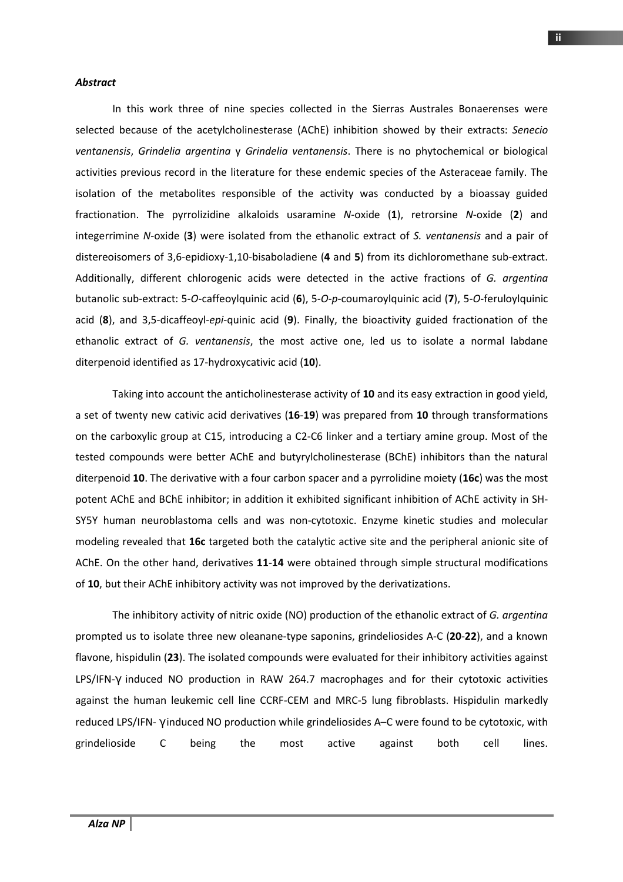## *Abstract*

In this work three of nine species collected in the Sierras Australes Bonaerenses were selected because of the acetylcholinesterase (AChE) inhibition showed by their extracts: *Senecio ventanensis*, *Grindelia argentina* y *Grindelia ventanensis*. There is no phytochemical or biological activities previous record in the literature for these endemic species of the Asteraceae family. The isolation of the metabolites responsible of the activity was conducted by a bioassay guided fractionation. The pyrrolizidine alkaloids usaramine *N*-oxide (**1**), retrorsine *N*-oxide (**2**) and integerrimine *N*-oxide (**3**) were isolated from the ethanolic extract of *S. ventanensis* and a pair of distereoisomers of 3,6-epidioxy-1,10-bisaboladiene (**4** and **5**) from its dichloromethane sub-extract. Additionally, different chlorogenic acids were detected in the active fractions of *G. argentina* butanolic sub-extract: 5-*O*-caffeoylquinic acid (**6**), 5-*O*-*p*-coumaroylquinic acid (**7**), 5-*O*-feruloylquinic acid (**8**), and 3,5-dicaffeoyl-*epi*-quinic acid (**9**). Finally, the bioactivity guided fractionation of the ethanolic extract of *G. ventanensis*, the most active one, led us to isolate a normal labdane diterpenoid identified as 17-hydroxycativic acid (**10**).

Taking into account the anticholinesterase activity of **10** and its easy extraction in good yield, a set of twenty new cativic acid derivatives (**16**-**19**) was prepared from **10** through transformations on the carboxylic group at C15, introducing a C2-C6 linker and a tertiary amine group. Most of the tested compounds were better AChE and butyrylcholinesterase (BChE) inhibitors than the natural diterpenoid **10**. The derivative with a four carbon spacer and a pyrrolidine moiety (**16c**) was the most potent AChE and BChE inhibitor; in addition it exhibited significant inhibition of AChE activity in SH-SY5Y human neuroblastoma cells and was non-cytotoxic. Enzyme kinetic studies and molecular modeling revealed that **16c** targeted both the catalytic active site and the peripheral anionic site of AChE. On the other hand, derivatives **11**-**14** were obtained through simple structural modifications of **10**, but their AChE inhibitory activity was not improved by the derivatizations.

The inhibitory activity of nitric oxide (NO) production of the ethanolic extract of *G. argentina* prompted us to isolate three new oleanane-type saponins, grindeliosides A-C (**20**-**22**), and a known flavone, hispidulin (**23**). The isolated compounds were evaluated for their inhibitory activities against LPS/IFN-γ induced NO production in RAW 264.7 macrophages and for their cytotoxic activities against the human leukemic cell line CCRF-CEM and MRC-5 lung fibroblasts. Hispidulin markedly reduced LPS/IFN- γ induced NO production while grindeliosides A–C were found to be cytotoxic, with grindelioside C being the most active against both cell lines.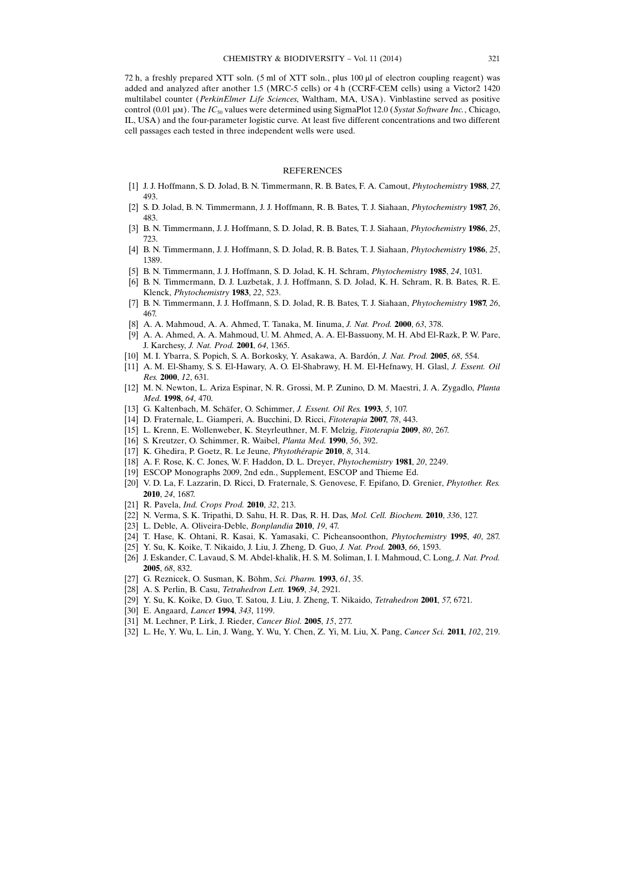72 h, a freshly prepared XTT soln. (5 ml of XTT soln., plus  $100 \mu$  of electron coupling reagent) was added and analyzed after another 1.5 (MRC-5 cells) or 4 h (CCRF-CEM cells) using a Victor2 1420 multilabel counter (PerkinElmer Life Sciences, Waltham, MA, USA). Vinblastine served as positive control (0.01  $\mu$ m). The IC<sub>50</sub> values were determined using SigmaPlot 12.0 (Systat Software Inc., Chicago, IL, USA) and the four-parameter logistic curve. At least five different concentrations and two different cell passages each tested in three independent wells were used.

## **REFERENCES**

- [1] J. J. Hoffmann, S. D. Jolad, B. N. Timmermann, R. B. Bates, F. A. Camout, Phytochemistry 1988, 27, 493.
- [2] S. D. Jolad, B. N. Timmermann, J. J. Hoffmann, R. B. Bates, T. J. Siahaan, Phytochemistry 1987, 26, 483.
- [3] B. N. Timmermann, J. J. Hoffmann, S. D. Jolad, R. B. Bates, T. J. Siahaan, Phytochemistry 1986, 25, 723.
- [4] B. N. Timmermann, J. J. Hoffmann, S. D. Jolad, R. B. Bates, T. J. Siahaan, Phytochemistry 1986, 25, 1389.
- [5] B. N. Timmermann, J. J. Hoffmann, S. D. Jolad, K. H. Schram, Phytochemistry 1985, 24, 1031.
- [6] B. N. Timmermann, D. J. Luzbetak, J. J. Hoffmann, S. D. Jolad, K. H. Schram, R. B. Bates, R. E. Klenck, Phytochemistry 1983, 22, 523.
- [7] B. N. Timmermann, J. J. Hoffmann, S. D. Jolad, R. B. Bates, T. J. Siahaan, Phytochemistry 1987, 26, 467.
- [8] A. A. Mahmoud, A. A. Ahmed, T. Tanaka, M. Iinuma, J. Nat. Prod. 2000, 63, 378.
- [9] A. A. Ahmed, A. A. Mahmoud, U. M. Ahmed, A. A. El-Bassuony, M. H. Abd El-Razk, P. W. Pare, J. Karchesy, J. Nat. Prod. 2001, 64, 1365.
- [10] M. I. Ybarra, S. Popich, S. A. Borkosky, Y. Asakawa, A. Bardón, J. Nat. Prod. 2005, 68, 554.
- [11] A. M. El-Shamy, S. S. El-Hawary, A. O. El-Shabrawy, H. M. El-Hefnawy, H. Glasl, J. Essent. Oil Res. 2000, 12, 631.
- [12] M. N. Newton, L. Ariza Espinar, N. R. Grossi, M. P. Zunino, D. M. Maestri, J. A. Zygadlo, Planta Med. 1998, 64, 470.
- [13] G. Kaltenbach, M. Schäfer, O. Schimmer, J. Essent. Oil Res. 1993, 5, 107.
- [14] D. Fraternale, L. Giamperi, A. Bucchini, D. Ricci, Fitoterapia 2007, 78, 443.
- [15] L. Krenn, E. Wollenweber, K. Steyrleuthner, M. F. Melzig, Fitoterapia 2009, 80, 267.
- [16] S. Kreutzer, O. Schimmer, R. Waibel, Planta Med. 1990, 56, 392.
- [17] K. Ghedira, P. Goetz, R. Le Jeune, Phytothérapie 2010, 8, 314.
- [18] A. F. Rose, K. C. Jones, W. F. Haddon, D. L. Dreyer, *Phytochemistry* 1981, 20, 2249.
- [19] ESCOP Monographs 2009, 2nd edn., Supplement, ESCOP and Thieme Ed.
- [20] V. D. La, F. Lazzarin, D. Ricci, D. Fraternale, S. Genovese, F. Epifano, D. Grenier, Phytother. Res. 2010, 24, 1687.
- [21] R. Pavela, Ind. Crops Prod. 2010, 32, 213.
- [22] N. Verma, S. K. Tripathi, D. Sahu, H. R. Das, R. H. Das, Mol. Cell. Biochem. 2010, 336, 127.
- [23] L. Deble, A. Oliveira-Deble, Bonplandia 2010, 19, 47.
- [24] T. Hase, K. Ohtani, R. Kasai, K. Yamasaki, C. Picheansoonthon, Phytochemistry 1995, 40, 287.
- [25] Y. Su, K. Koike, T. Nikaido, J. Liu, J. Zheng, D. Guo, J. Nat. Prod. 2003, 66, 1593.
- [26] J. Eskander, C. Lavaud, S. M. Abdel-khalik, H. S. M. Soliman, I. I. Mahmoud, C. Long, J. Nat. Prod. 2005, 68, 832.
- [27] G. Reznicek, O. Susman, K. Böhm, Sci. Pharm. 1993, 61, 35.
- [28] A. S. Perlin, B. Casu, Tetrahedron Lett. 1969, 34, 2921.
- [29] Y. Su, K. Koike, D. Guo, T. Satou, J. Liu, J. Zheng, T. Nikaido, Tetrahedron 2001, 57, 6721.
- [30] E. Angaard, *Lancet* 1994, 343, 1199.
- [31] M. Lechner, P. Lirk, J. Rieder, Cancer Biol. 2005, 15, 277.
- [32] L. He, Y. Wu, L. Lin, J. Wang, Y. Wu, Y. Chen, Z. Yi, M. Liu, X. Pang, Cancer Sci. 2011, 102, 219.